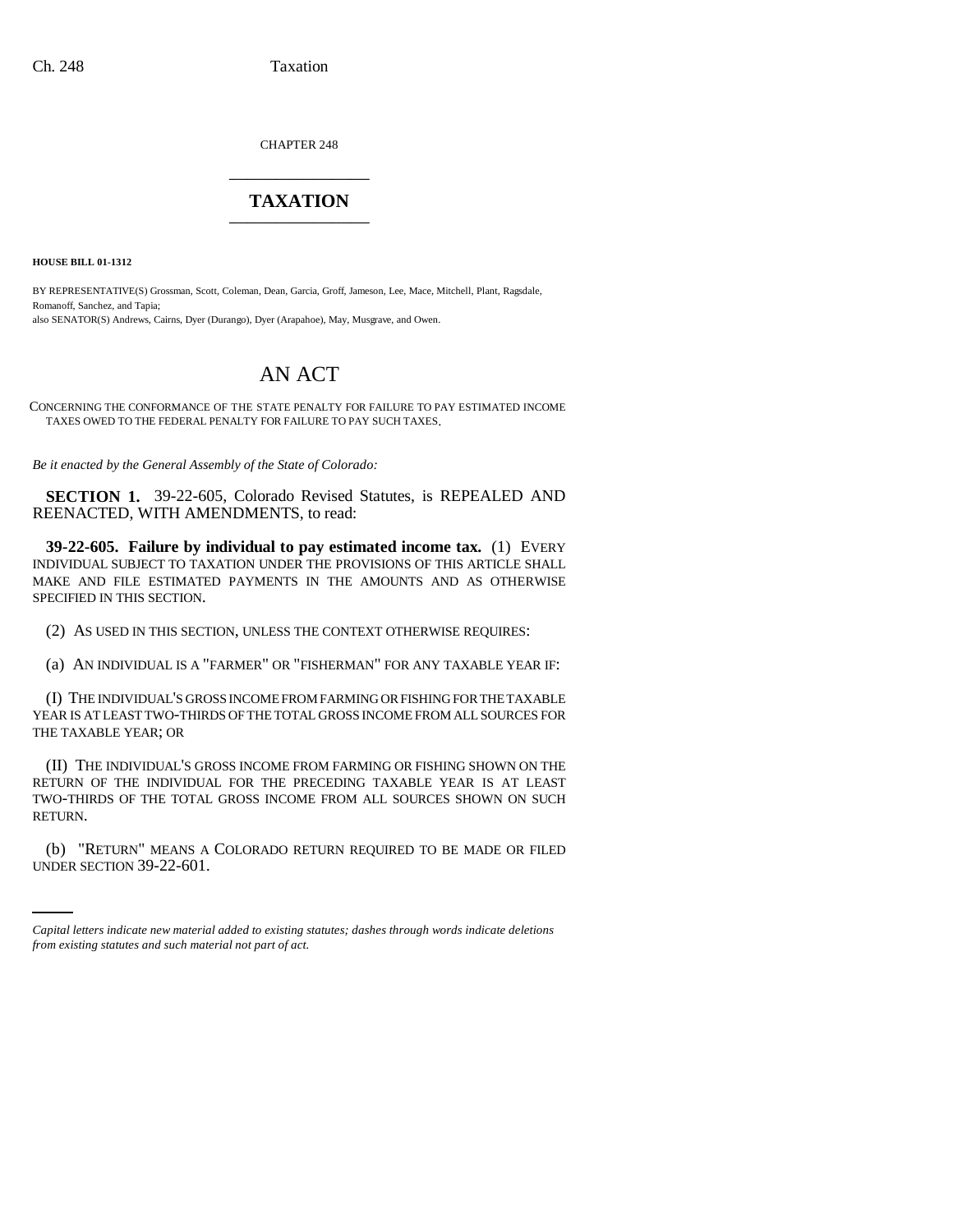CHAPTER 248 \_\_\_\_\_\_\_\_\_\_\_\_\_\_\_

## **TAXATION** \_\_\_\_\_\_\_\_\_\_\_\_\_\_\_

**HOUSE BILL 01-1312**

BY REPRESENTATIVE(S) Grossman, Scott, Coleman, Dean, Garcia, Groff, Jameson, Lee, Mace, Mitchell, Plant, Ragsdale, Romanoff, Sanchez, and Tapia; also SENATOR(S) Andrews, Cairns, Dyer (Durango), Dyer (Arapahoe), May, Musgrave, and Owen.

# AN ACT

CONCERNING THE CONFORMANCE OF THE STATE PENALTY FOR FAILURE TO PAY ESTIMATED INCOME TAXES OWED TO THE FEDERAL PENALTY FOR FAILURE TO PAY SUCH TAXES.

*Be it enacted by the General Assembly of the State of Colorado:*

**SECTION 1.** 39-22-605, Colorado Revised Statutes, is REPEALED AND REENACTED, WITH AMENDMENTS, to read:

**39-22-605. Failure by individual to pay estimated income tax.** (1) EVERY INDIVIDUAL SUBJECT TO TAXATION UNDER THE PROVISIONS OF THIS ARTICLE SHALL MAKE AND FILE ESTIMATED PAYMENTS IN THE AMOUNTS AND AS OTHERWISE SPECIFIED IN THIS SECTION.

(2) AS USED IN THIS SECTION, UNLESS THE CONTEXT OTHERWISE REQUIRES:

(a) AN INDIVIDUAL IS A "FARMER" OR "FISHERMAN" FOR ANY TAXABLE YEAR IF:

(I) THE INDIVIDUAL'S GROSS INCOME FROM FARMING OR FISHING FOR THE TAXABLE YEAR IS AT LEAST TWO-THIRDS OF THE TOTAL GROSS INCOME FROM ALL SOURCES FOR THE TAXABLE YEAR; OR

(II) THE INDIVIDUAL'S GROSS INCOME FROM FARMING OR FISHING SHOWN ON THE RETURN OF THE INDIVIDUAL FOR THE PRECEDING TAXABLE YEAR IS AT LEAST TWO-THIRDS OF THE TOTAL GROSS INCOME FROM ALL SOURCES SHOWN ON SUCH RETURN.

(b) "RETURN" MEANS A COLORADO RETURN REQUIRED TO BE MADE OR FILED UNDER SECTION 39-22-601.

*Capital letters indicate new material added to existing statutes; dashes through words indicate deletions from existing statutes and such material not part of act.*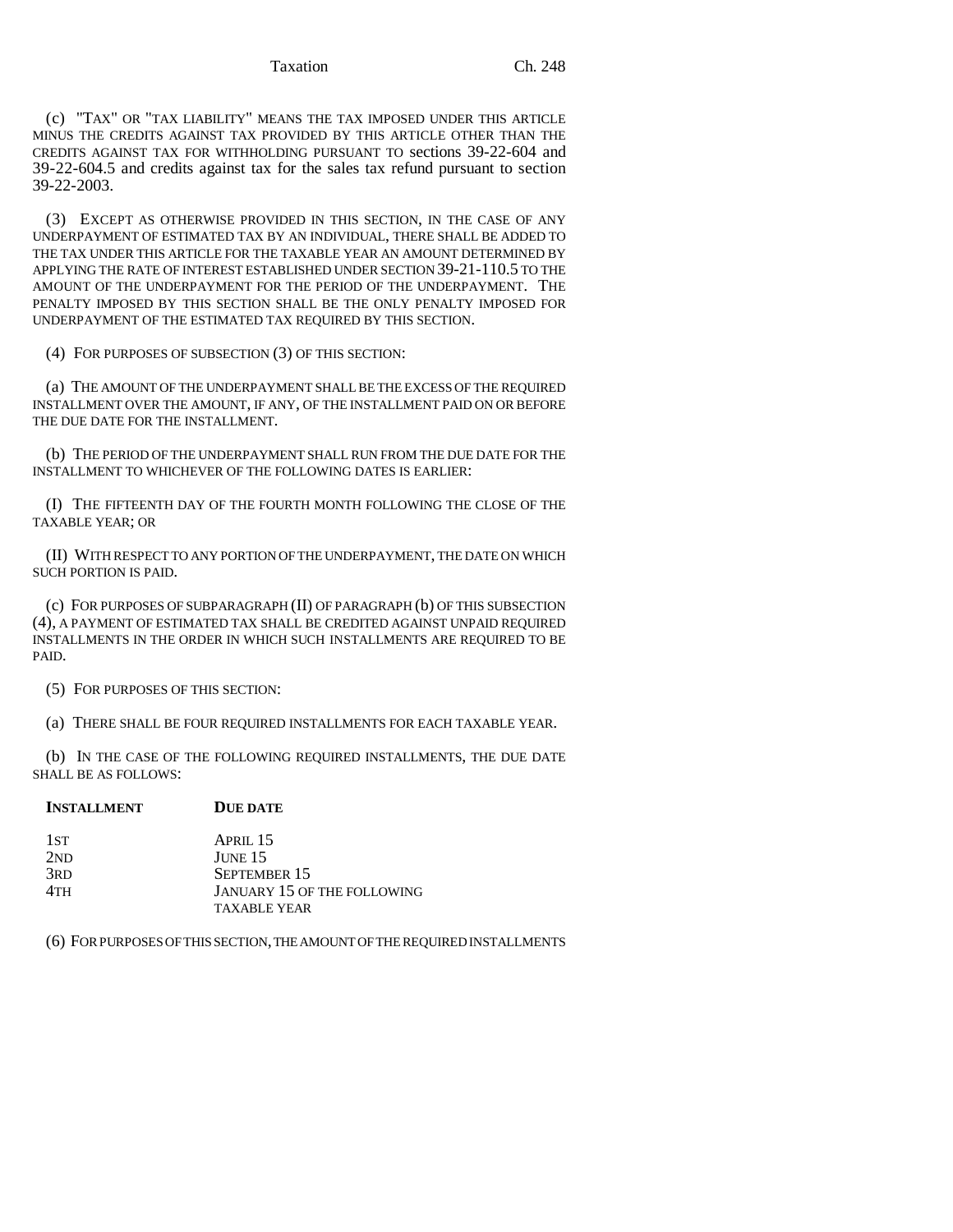Taxation Ch. 248

(c) "TAX" OR "TAX LIABILITY" MEANS THE TAX IMPOSED UNDER THIS ARTICLE MINUS THE CREDITS AGAINST TAX PROVIDED BY THIS ARTICLE OTHER THAN THE CREDITS AGAINST TAX FOR WITHHOLDING PURSUANT TO sections 39-22-604 and 39-22-604.5 and credits against tax for the sales tax refund pursuant to section 39-22-2003.

(3) EXCEPT AS OTHERWISE PROVIDED IN THIS SECTION, IN THE CASE OF ANY UNDERPAYMENT OF ESTIMATED TAX BY AN INDIVIDUAL, THERE SHALL BE ADDED TO THE TAX UNDER THIS ARTICLE FOR THE TAXABLE YEAR AN AMOUNT DETERMINED BY APPLYING THE RATE OF INTEREST ESTABLISHED UNDER SECTION 39-21-110.5 TO THE AMOUNT OF THE UNDERPAYMENT FOR THE PERIOD OF THE UNDERPAYMENT. THE PENALTY IMPOSED BY THIS SECTION SHALL BE THE ONLY PENALTY IMPOSED FOR UNDERPAYMENT OF THE ESTIMATED TAX REQUIRED BY THIS SECTION.

(4) FOR PURPOSES OF SUBSECTION (3) OF THIS SECTION:

(a) THE AMOUNT OF THE UNDERPAYMENT SHALL BE THE EXCESS OF THE REQUIRED INSTALLMENT OVER THE AMOUNT, IF ANY, OF THE INSTALLMENT PAID ON OR BEFORE THE DUE DATE FOR THE INSTALLMENT.

(b) THE PERIOD OF THE UNDERPAYMENT SHALL RUN FROM THE DUE DATE FOR THE INSTALLMENT TO WHICHEVER OF THE FOLLOWING DATES IS EARLIER:

(I) THE FIFTEENTH DAY OF THE FOURTH MONTH FOLLOWING THE CLOSE OF THE TAXABLE YEAR; OR

(II) WITH RESPECT TO ANY PORTION OF THE UNDERPAYMENT, THE DATE ON WHICH SUCH PORTION IS PAID.

(c) FOR PURPOSES OF SUBPARAGRAPH (II) OF PARAGRAPH (b) OF THIS SUBSECTION (4), A PAYMENT OF ESTIMATED TAX SHALL BE CREDITED AGAINST UNPAID REQUIRED INSTALLMENTS IN THE ORDER IN WHICH SUCH INSTALLMENTS ARE REQUIRED TO BE PAID.

(5) FOR PURPOSES OF THIS SECTION:

(a) THERE SHALL BE FOUR REQUIRED INSTALLMENTS FOR EACH TAXABLE YEAR.

(b) IN THE CASE OF THE FOLLOWING REQUIRED INSTALLMENTS, THE DUE DATE SHALL BE AS FOLLOWS:

| <b>DUE DATE</b><br><b>INSTALLMENT</b> |
|---------------------------------------|
|---------------------------------------|

| 1st             | APRII.15                           |
|-----------------|------------------------------------|
| 2ND             | JUNE <sub>15</sub>                 |
| 3 <sub>RD</sub> | SEPTEMBER 15                       |
| 4TH             | <b>JANUARY 15 OF THE FOLLOWING</b> |
|                 | <b>TAXABLE YEAR</b>                |

(6) FOR PURPOSES OF THIS SECTION, THE AMOUNT OF THE REQUIRED INSTALLMENTS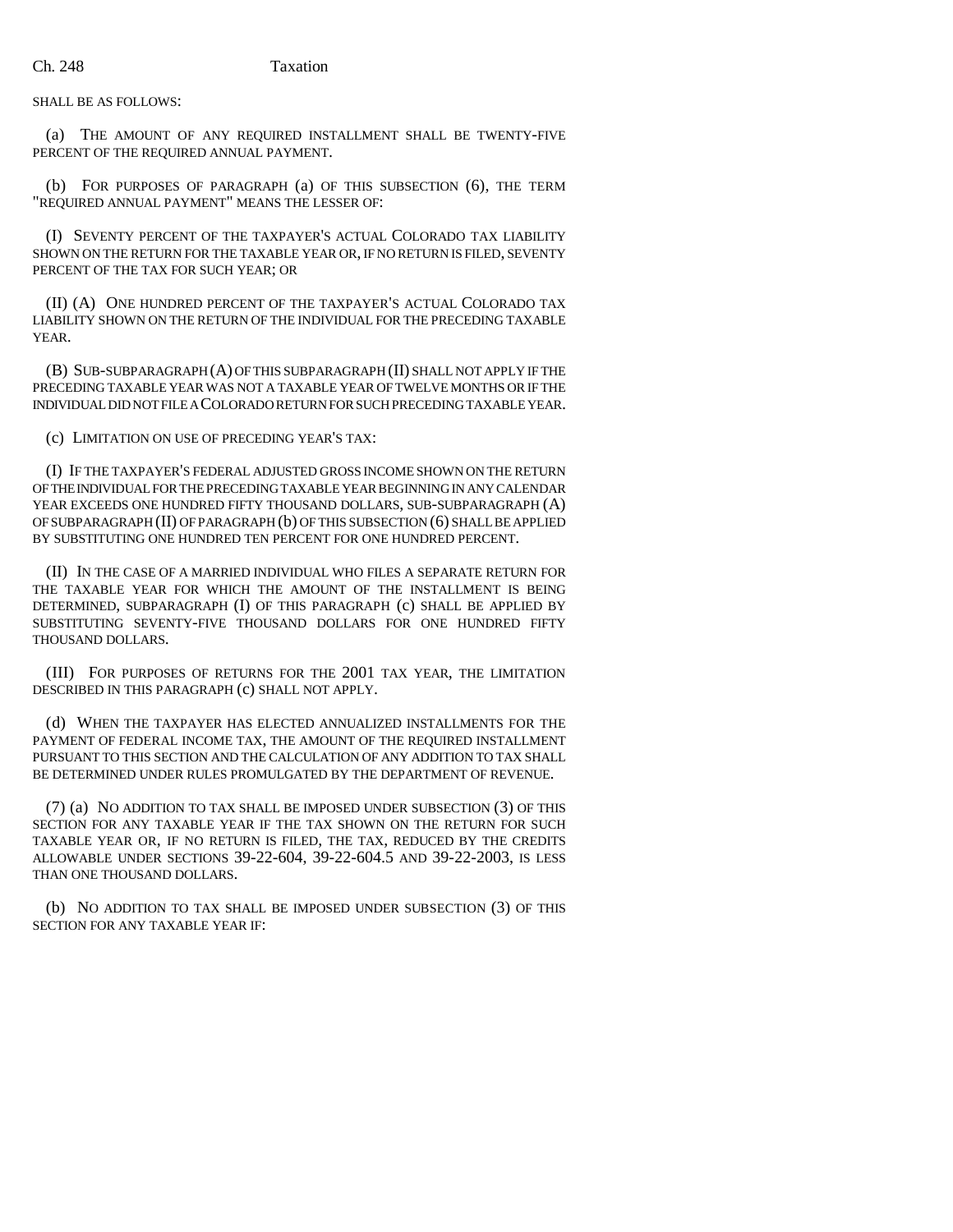SHALL BE AS FOLLOWS:

(a) THE AMOUNT OF ANY REQUIRED INSTALLMENT SHALL BE TWENTY-FIVE PERCENT OF THE REQUIRED ANNUAL PAYMENT.

(b) FOR PURPOSES OF PARAGRAPH (a) OF THIS SUBSECTION (6), THE TERM "REQUIRED ANNUAL PAYMENT" MEANS THE LESSER OF:

(I) SEVENTY PERCENT OF THE TAXPAYER'S ACTUAL COLORADO TAX LIABILITY SHOWN ON THE RETURN FOR THE TAXABLE YEAR OR, IF NO RETURN IS FILED, SEVENTY PERCENT OF THE TAX FOR SUCH YEAR; OR

(II) (A) ONE HUNDRED PERCENT OF THE TAXPAYER'S ACTUAL COLORADO TAX LIABILITY SHOWN ON THE RETURN OF THE INDIVIDUAL FOR THE PRECEDING TAXABLE YEAR.

(B) SUB-SUBPARAGRAPH (A) OF THIS SUBPARAGRAPH (II) SHALL NOT APPLY IF THE PRECEDING TAXABLE YEAR WAS NOT A TAXABLE YEAR OF TWELVE MONTHS OR IF THE INDIVIDUAL DID NOT FILE A COLORADO RETURN FOR SUCH PRECEDING TAXABLE YEAR.

(c) LIMITATION ON USE OF PRECEDING YEAR'S TAX:

(I) IF THE TAXPAYER'S FEDERAL ADJUSTED GROSS INCOME SHOWN ON THE RETURN OF THE INDIVIDUAL FOR THE PRECEDING TAXABLE YEAR BEGINNING IN ANY CALENDAR YEAR EXCEEDS ONE HUNDRED FIFTY THOUSAND DOLLARS, SUB-SUBPARAGRAPH (A) OF SUBPARAGRAPH (II) OF PARAGRAPH (b) OF THIS SUBSECTION (6) SHALL BE APPLIED BY SUBSTITUTING ONE HUNDRED TEN PERCENT FOR ONE HUNDRED PERCENT.

(II) IN THE CASE OF A MARRIED INDIVIDUAL WHO FILES A SEPARATE RETURN FOR THE TAXABLE YEAR FOR WHICH THE AMOUNT OF THE INSTALLMENT IS BEING DETERMINED, SUBPARAGRAPH (I) OF THIS PARAGRAPH (c) SHALL BE APPLIED BY SUBSTITUTING SEVENTY-FIVE THOUSAND DOLLARS FOR ONE HUNDRED FIFTY THOUSAND DOLLARS.

(III) FOR PURPOSES OF RETURNS FOR THE 2001 TAX YEAR, THE LIMITATION DESCRIBED IN THIS PARAGRAPH (c) SHALL NOT APPLY.

(d) WHEN THE TAXPAYER HAS ELECTED ANNUALIZED INSTALLMENTS FOR THE PAYMENT OF FEDERAL INCOME TAX, THE AMOUNT OF THE REQUIRED INSTALLMENT PURSUANT TO THIS SECTION AND THE CALCULATION OF ANY ADDITION TO TAX SHALL BE DETERMINED UNDER RULES PROMULGATED BY THE DEPARTMENT OF REVENUE.

(7) (a) NO ADDITION TO TAX SHALL BE IMPOSED UNDER SUBSECTION (3) OF THIS SECTION FOR ANY TAXABLE YEAR IF THE TAX SHOWN ON THE RETURN FOR SUCH TAXABLE YEAR OR, IF NO RETURN IS FILED, THE TAX, REDUCED BY THE CREDITS ALLOWABLE UNDER SECTIONS 39-22-604, 39-22-604.5 AND 39-22-2003, IS LESS THAN ONE THOUSAND DOLLARS.

(b) NO ADDITION TO TAX SHALL BE IMPOSED UNDER SUBSECTION (3) OF THIS SECTION FOR ANY TAXABLE YEAR IF: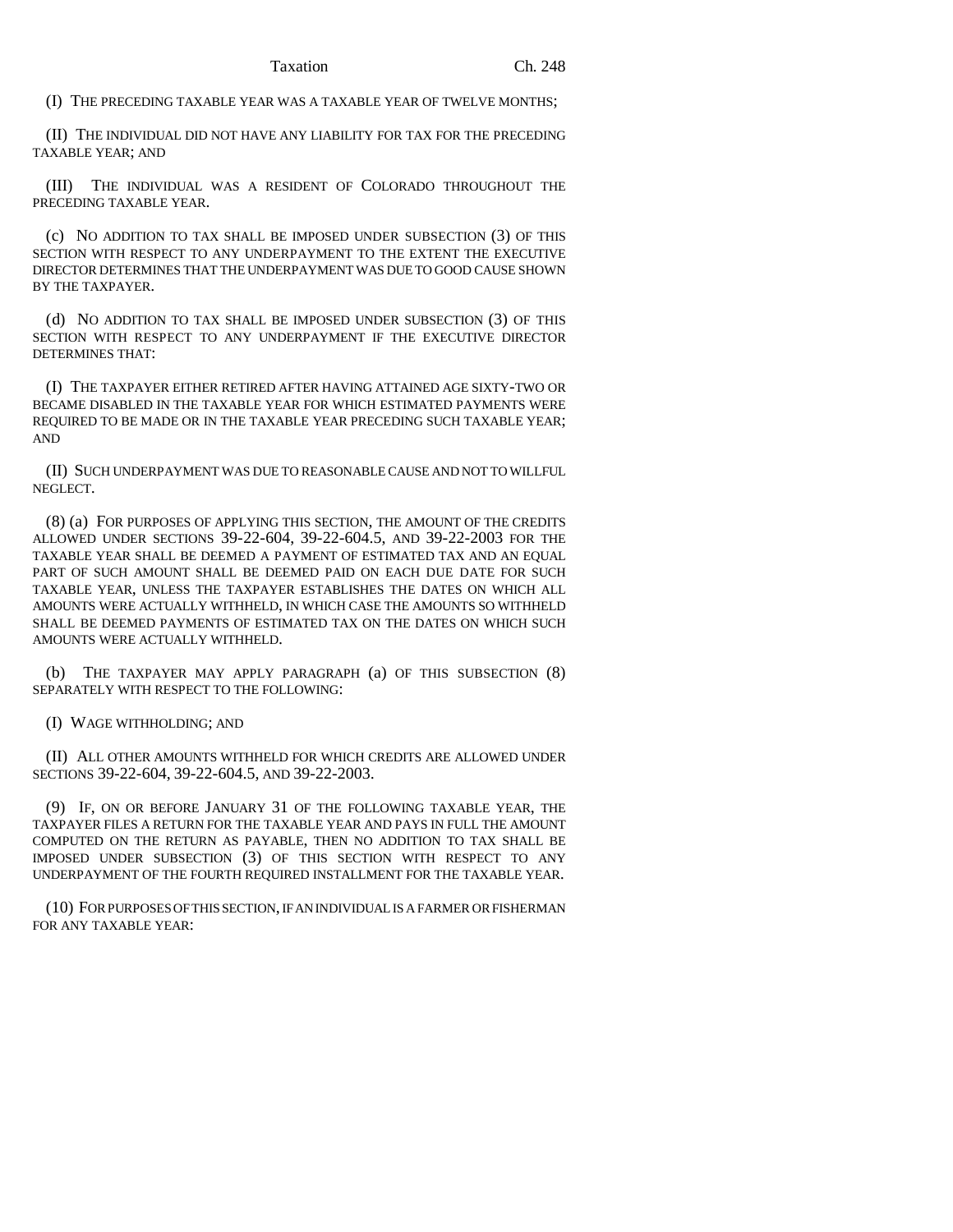(I) THE PRECEDING TAXABLE YEAR WAS A TAXABLE YEAR OF TWELVE MONTHS;

(II) THE INDIVIDUAL DID NOT HAVE ANY LIABILITY FOR TAX FOR THE PRECEDING TAXABLE YEAR; AND

(III) THE INDIVIDUAL WAS A RESIDENT OF COLORADO THROUGHOUT THE PRECEDING TAXABLE YEAR.

(c) NO ADDITION TO TAX SHALL BE IMPOSED UNDER SUBSECTION (3) OF THIS SECTION WITH RESPECT TO ANY UNDERPAYMENT TO THE EXTENT THE EXECUTIVE DIRECTOR DETERMINES THAT THE UNDERPAYMENT WAS DUE TO GOOD CAUSE SHOWN BY THE TAXPAYER.

(d) NO ADDITION TO TAX SHALL BE IMPOSED UNDER SUBSECTION (3) OF THIS SECTION WITH RESPECT TO ANY UNDERPAYMENT IF THE EXECUTIVE DIRECTOR DETERMINES THAT:

(I) THE TAXPAYER EITHER RETIRED AFTER HAVING ATTAINED AGE SIXTY-TWO OR BECAME DISABLED IN THE TAXABLE YEAR FOR WHICH ESTIMATED PAYMENTS WERE REQUIRED TO BE MADE OR IN THE TAXABLE YEAR PRECEDING SUCH TAXABLE YEAR; AND

(II) SUCH UNDERPAYMENT WAS DUE TO REASONABLE CAUSE AND NOT TO WILLFUL NEGLECT.

(8) (a) FOR PURPOSES OF APPLYING THIS SECTION, THE AMOUNT OF THE CREDITS ALLOWED UNDER SECTIONS 39-22-604, 39-22-604.5, AND 39-22-2003 FOR THE TAXABLE YEAR SHALL BE DEEMED A PAYMENT OF ESTIMATED TAX AND AN EQUAL PART OF SUCH AMOUNT SHALL BE DEEMED PAID ON EACH DUE DATE FOR SUCH TAXABLE YEAR, UNLESS THE TAXPAYER ESTABLISHES THE DATES ON WHICH ALL AMOUNTS WERE ACTUALLY WITHHELD, IN WHICH CASE THE AMOUNTS SO WITHHELD SHALL BE DEEMED PAYMENTS OF ESTIMATED TAX ON THE DATES ON WHICH SUCH AMOUNTS WERE ACTUALLY WITHHELD.

(b) THE TAXPAYER MAY APPLY PARAGRAPH (a) OF THIS SUBSECTION (8) SEPARATELY WITH RESPECT TO THE FOLLOWING:

(I) WAGE WITHHOLDING; AND

(II) ALL OTHER AMOUNTS WITHHELD FOR WHICH CREDITS ARE ALLOWED UNDER SECTIONS 39-22-604, 39-22-604.5, AND 39-22-2003.

(9) IF, ON OR BEFORE JANUARY 31 OF THE FOLLOWING TAXABLE YEAR, THE TAXPAYER FILES A RETURN FOR THE TAXABLE YEAR AND PAYS IN FULL THE AMOUNT COMPUTED ON THE RETURN AS PAYABLE, THEN NO ADDITION TO TAX SHALL BE IMPOSED UNDER SUBSECTION (3) OF THIS SECTION WITH RESPECT TO ANY UNDERPAYMENT OF THE FOURTH REQUIRED INSTALLMENT FOR THE TAXABLE YEAR.

(10) FOR PURPOSES OF THIS SECTION, IF AN INDIVIDUAL IS A FARMER OR FISHERMAN FOR ANY TAXABLE YEAR: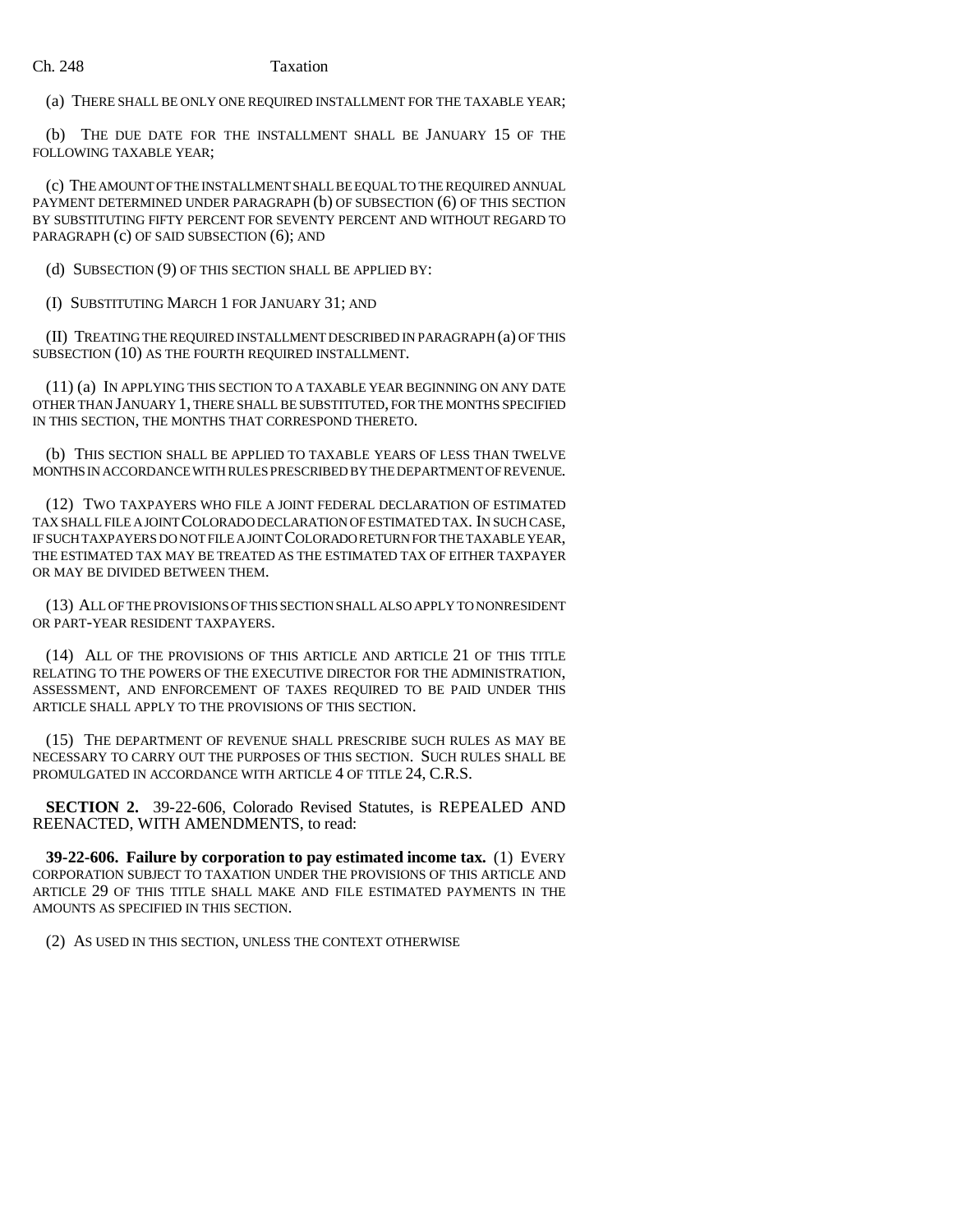#### Ch. 248 Taxation

(a) THERE SHALL BE ONLY ONE REQUIRED INSTALLMENT FOR THE TAXABLE YEAR;

(b) THE DUE DATE FOR THE INSTALLMENT SHALL BE JANUARY 15 OF THE FOLLOWING TAXABLE YEAR;

(c) THE AMOUNT OF THE INSTALLMENT SHALL BE EQUAL TO THE REQUIRED ANNUAL PAYMENT DETERMINED UNDER PARAGRAPH (b) OF SUBSECTION (6) OF THIS SECTION BY SUBSTITUTING FIFTY PERCENT FOR SEVENTY PERCENT AND WITHOUT REGARD TO PARAGRAPH (c) OF SAID SUBSECTION (6); AND

(d) SUBSECTION (9) OF THIS SECTION SHALL BE APPLIED BY:

(I) SUBSTITUTING MARCH 1 FOR JANUARY 31; AND

(II) TREATING THE REQUIRED INSTALLMENT DESCRIBED IN PARAGRAPH (a) OF THIS SUBSECTION (10) AS THE FOURTH REQUIRED INSTALLMENT.

(11) (a) IN APPLYING THIS SECTION TO A TAXABLE YEAR BEGINNING ON ANY DATE OTHER THAN JANUARY 1, THERE SHALL BE SUBSTITUTED, FOR THE MONTHS SPECIFIED IN THIS SECTION, THE MONTHS THAT CORRESPOND THERETO.

(b) THIS SECTION SHALL BE APPLIED TO TAXABLE YEARS OF LESS THAN TWELVE MONTHS IN ACCORDANCE WITH RULES PRESCRIBED BY THE DEPARTMENT OF REVENUE.

(12) TWO TAXPAYERS WHO FILE A JOINT FEDERAL DECLARATION OF ESTIMATED TAX SHALL FILE A JOINT COLORADO DECLARATION OF ESTIMATED TAX. IN SUCH CASE, IF SUCH TAXPAYERS DO NOT FILE A JOINT COLORADO RETURN FOR THE TAXABLE YEAR, THE ESTIMATED TAX MAY BE TREATED AS THE ESTIMATED TAX OF EITHER TAXPAYER OR MAY BE DIVIDED BETWEEN THEM.

(13) ALL OF THE PROVISIONS OF THIS SECTION SHALL ALSO APPLY TO NONRESIDENT OR PART-YEAR RESIDENT TAXPAYERS.

(14) ALL OF THE PROVISIONS OF THIS ARTICLE AND ARTICLE 21 OF THIS TITLE RELATING TO THE POWERS OF THE EXECUTIVE DIRECTOR FOR THE ADMINISTRATION, ASSESSMENT, AND ENFORCEMENT OF TAXES REQUIRED TO BE PAID UNDER THIS ARTICLE SHALL APPLY TO THE PROVISIONS OF THIS SECTION.

(15) THE DEPARTMENT OF REVENUE SHALL PRESCRIBE SUCH RULES AS MAY BE NECESSARY TO CARRY OUT THE PURPOSES OF THIS SECTION. SUCH RULES SHALL BE PROMULGATED IN ACCORDANCE WITH ARTICLE 4 OF TITLE 24, C.R.S.

**SECTION 2.** 39-22-606, Colorado Revised Statutes, is REPEALED AND REENACTED, WITH AMENDMENTS, to read:

**39-22-606. Failure by corporation to pay estimated income tax.** (1) EVERY CORPORATION SUBJECT TO TAXATION UNDER THE PROVISIONS OF THIS ARTICLE AND ARTICLE 29 OF THIS TITLE SHALL MAKE AND FILE ESTIMATED PAYMENTS IN THE AMOUNTS AS SPECIFIED IN THIS SECTION.

(2) AS USED IN THIS SECTION, UNLESS THE CONTEXT OTHERWISE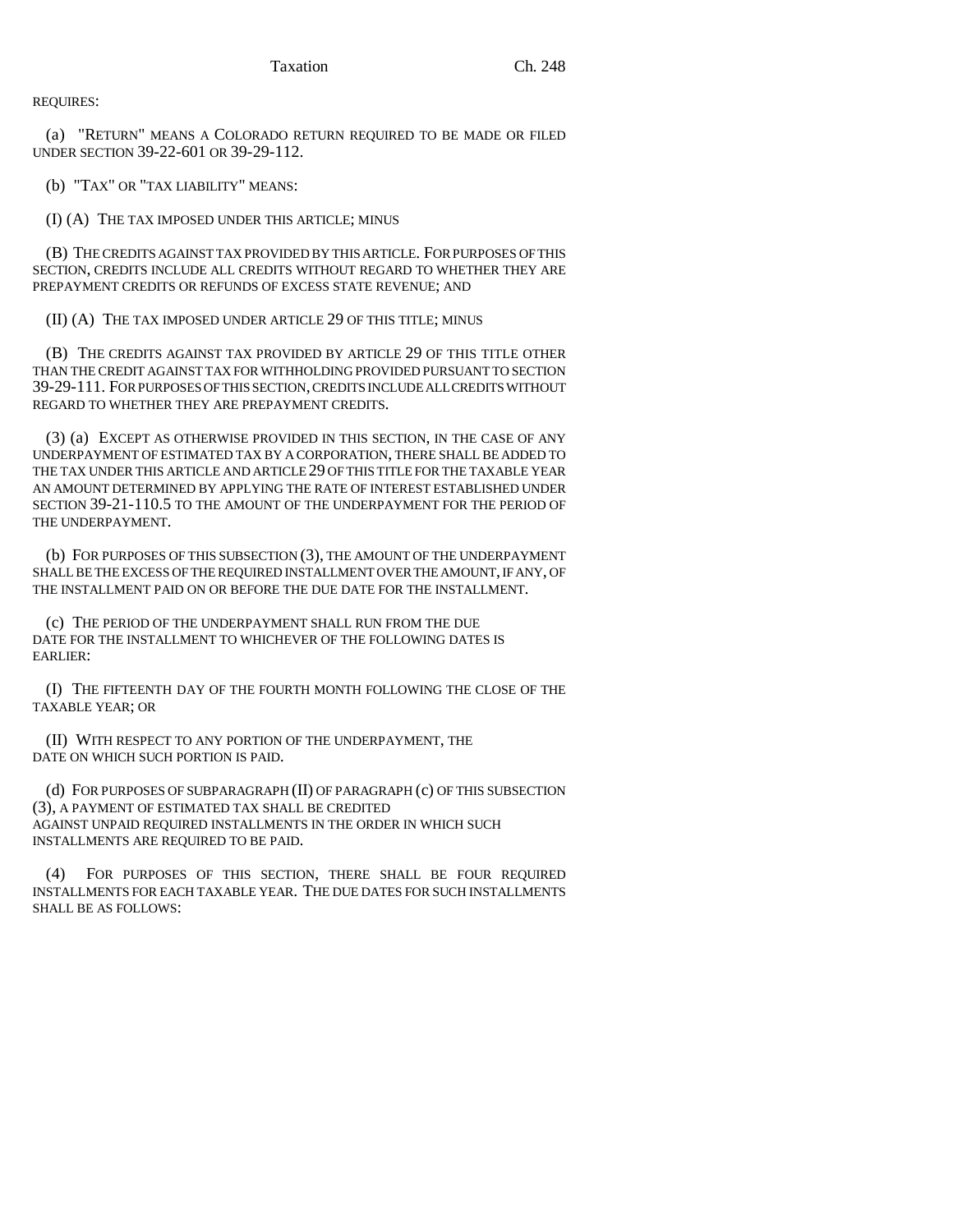REQUIRES:

(a) "RETURN" MEANS A COLORADO RETURN REQUIRED TO BE MADE OR FILED UNDER SECTION 39-22-601 OR 39-29-112.

(b) "TAX" OR "TAX LIABILITY" MEANS:

(I) (A) THE TAX IMPOSED UNDER THIS ARTICLE; MINUS

(B) THE CREDITS AGAINST TAX PROVIDED BY THIS ARTICLE. FOR PURPOSES OF THIS SECTION, CREDITS INCLUDE ALL CREDITS WITHOUT REGARD TO WHETHER THEY ARE PREPAYMENT CREDITS OR REFUNDS OF EXCESS STATE REVENUE; AND

(II) (A) THE TAX IMPOSED UNDER ARTICLE 29 OF THIS TITLE; MINUS

(B) THE CREDITS AGAINST TAX PROVIDED BY ARTICLE 29 OF THIS TITLE OTHER THAN THE CREDIT AGAINST TAX FOR WITHHOLDING PROVIDED PURSUANT TO SECTION 39-29-111. FOR PURPOSES OF THIS SECTION, CREDITS INCLUDE ALL CREDITS WITHOUT REGARD TO WHETHER THEY ARE PREPAYMENT CREDITS.

(3) (a) EXCEPT AS OTHERWISE PROVIDED IN THIS SECTION, IN THE CASE OF ANY UNDERPAYMENT OF ESTIMATED TAX BY A CORPORATION, THERE SHALL BE ADDED TO THE TAX UNDER THIS ARTICLE AND ARTICLE 29 OF THIS TITLE FOR THE TAXABLE YEAR AN AMOUNT DETERMINED BY APPLYING THE RATE OF INTEREST ESTABLISHED UNDER SECTION 39-21-110.5 TO THE AMOUNT OF THE UNDERPAYMENT FOR THE PERIOD OF THE UNDERPAYMENT.

(b) FOR PURPOSES OF THIS SUBSECTION (3), THE AMOUNT OF THE UNDERPAYMENT SHALL BE THE EXCESS OF THE REQUIRED INSTALLMENT OVER THE AMOUNT, IF ANY, OF THE INSTALLMENT PAID ON OR BEFORE THE DUE DATE FOR THE INSTALLMENT.

(c) THE PERIOD OF THE UNDERPAYMENT SHALL RUN FROM THE DUE DATE FOR THE INSTALLMENT TO WHICHEVER OF THE FOLLOWING DATES IS EARLIER:

(I) THE FIFTEENTH DAY OF THE FOURTH MONTH FOLLOWING THE CLOSE OF THE TAXABLE YEAR; OR

(II) WITH RESPECT TO ANY PORTION OF THE UNDERPAYMENT, THE DATE ON WHICH SUCH PORTION IS PAID.

(d) FOR PURPOSES OF SUBPARAGRAPH (II) OF PARAGRAPH (c) OF THIS SUBSECTION (3), A PAYMENT OF ESTIMATED TAX SHALL BE CREDITED AGAINST UNPAID REQUIRED INSTALLMENTS IN THE ORDER IN WHICH SUCH INSTALLMENTS ARE REQUIRED TO BE PAID.

(4) FOR PURPOSES OF THIS SECTION, THERE SHALL BE FOUR REQUIRED INSTALLMENTS FOR EACH TAXABLE YEAR. THE DUE DATES FOR SUCH INSTALLMENTS SHALL BE AS FOLLOWS: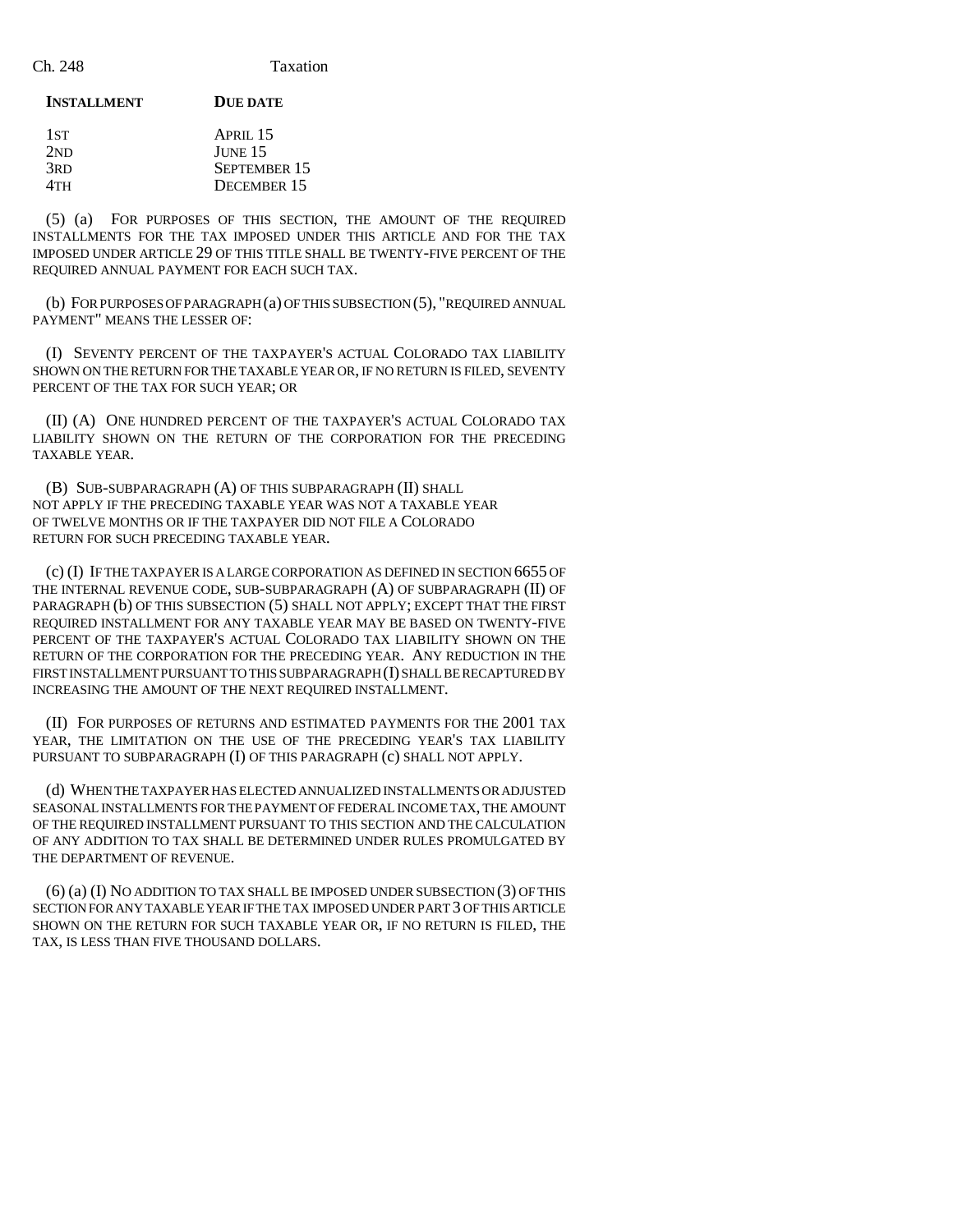#### **INSTALLMENT DUE DATE**

| 1st             | APRII.15           |
|-----------------|--------------------|
| 2ND             | JUNE <sub>15</sub> |
| 3 <sub>RD</sub> | SEPTEMBER 15       |
| 4TH             | DECEMBER 15        |

(5) (a) FOR PURPOSES OF THIS SECTION, THE AMOUNT OF THE REQUIRED INSTALLMENTS FOR THE TAX IMPOSED UNDER THIS ARTICLE AND FOR THE TAX IMPOSED UNDER ARTICLE 29 OF THIS TITLE SHALL BE TWENTY-FIVE PERCENT OF THE REQUIRED ANNUAL PAYMENT FOR EACH SUCH TAX.

(b) FOR PURPOSES OF PARAGRAPH (a) OF THIS SUBSECTION (5), "REQUIRED ANNUAL PAYMENT" MEANS THE LESSER OF:

(I) SEVENTY PERCENT OF THE TAXPAYER'S ACTUAL COLORADO TAX LIABILITY SHOWN ON THE RETURN FOR THE TAXABLE YEAR OR, IF NO RETURN IS FILED, SEVENTY PERCENT OF THE TAX FOR SUCH YEAR; OR

(II) (A) ONE HUNDRED PERCENT OF THE TAXPAYER'S ACTUAL COLORADO TAX LIABILITY SHOWN ON THE RETURN OF THE CORPORATION FOR THE PRECEDING TAXABLE YEAR.

(B) SUB-SUBPARAGRAPH (A) OF THIS SUBPARAGRAPH (II) SHALL NOT APPLY IF THE PRECEDING TAXABLE YEAR WAS NOT A TAXABLE YEAR OF TWELVE MONTHS OR IF THE TAXPAYER DID NOT FILE A COLORADO RETURN FOR SUCH PRECEDING TAXABLE YEAR.

(c) (I) IF THE TAXPAYER IS A LARGE CORPORATION AS DEFINED IN SECTION 6655 OF THE INTERNAL REVENUE CODE, SUB-SUBPARAGRAPH (A) OF SUBPARAGRAPH (II) OF PARAGRAPH (b) OF THIS SUBSECTION (5) SHALL NOT APPLY; EXCEPT THAT THE FIRST REQUIRED INSTALLMENT FOR ANY TAXABLE YEAR MAY BE BASED ON TWENTY-FIVE PERCENT OF THE TAXPAYER'S ACTUAL COLORADO TAX LIABILITY SHOWN ON THE RETURN OF THE CORPORATION FOR THE PRECEDING YEAR. ANY REDUCTION IN THE FIRST INSTALLMENT PURSUANT TO THIS SUBPARAGRAPH (I) SHALL BE RECAPTURED BY INCREASING THE AMOUNT OF THE NEXT REQUIRED INSTALLMENT.

(II) FOR PURPOSES OF RETURNS AND ESTIMATED PAYMENTS FOR THE 2001 TAX YEAR, THE LIMITATION ON THE USE OF THE PRECEDING YEAR'S TAX LIABILITY PURSUANT TO SUBPARAGRAPH (I) OF THIS PARAGRAPH (c) SHALL NOT APPLY.

(d) WHEN THE TAXPAYER HAS ELECTED ANNUALIZED INSTALLMENTS OR ADJUSTED SEASONAL INSTALLMENTS FOR THE PAYMENT OF FEDERAL INCOME TAX, THE AMOUNT OF THE REQUIRED INSTALLMENT PURSUANT TO THIS SECTION AND THE CALCULATION OF ANY ADDITION TO TAX SHALL BE DETERMINED UNDER RULES PROMULGATED BY THE DEPARTMENT OF REVENUE.

(6) (a) (I) NO ADDITION TO TAX SHALL BE IMPOSED UNDER SUBSECTION (3) OF THIS SECTION FOR ANY TAXABLE YEAR IF THE TAX IMPOSED UNDER PART 3 OF THIS ARTICLE SHOWN ON THE RETURN FOR SUCH TAXABLE YEAR OR, IF NO RETURN IS FILED, THE TAX, IS LESS THAN FIVE THOUSAND DOLLARS.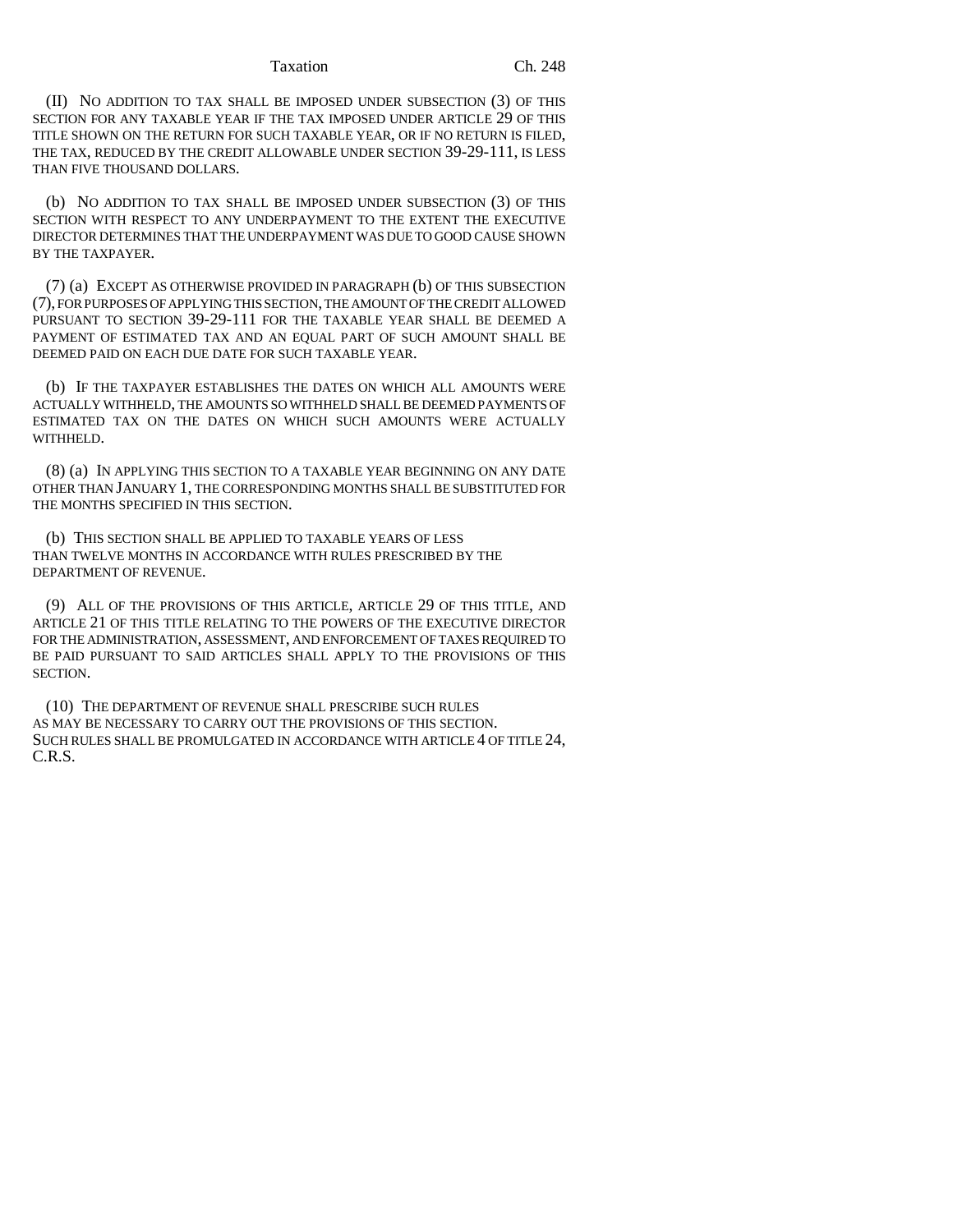#### Taxation Ch. 248

(II) NO ADDITION TO TAX SHALL BE IMPOSED UNDER SUBSECTION (3) OF THIS SECTION FOR ANY TAXABLE YEAR IF THE TAX IMPOSED UNDER ARTICLE 29 OF THIS TITLE SHOWN ON THE RETURN FOR SUCH TAXABLE YEAR, OR IF NO RETURN IS FILED, THE TAX, REDUCED BY THE CREDIT ALLOWABLE UNDER SECTION 39-29-111, IS LESS THAN FIVE THOUSAND DOLLARS.

(b) NO ADDITION TO TAX SHALL BE IMPOSED UNDER SUBSECTION (3) OF THIS SECTION WITH RESPECT TO ANY UNDERPAYMENT TO THE EXTENT THE EXECUTIVE DIRECTOR DETERMINES THAT THE UNDERPAYMENT WAS DUE TO GOOD CAUSE SHOWN BY THE TAXPAYER.

(7) (a) EXCEPT AS OTHERWISE PROVIDED IN PARAGRAPH (b) OF THIS SUBSECTION (7), FOR PURPOSES OF APPLYING THIS SECTION, THE AMOUNT OF THE CREDIT ALLOWED PURSUANT TO SECTION 39-29-111 FOR THE TAXABLE YEAR SHALL BE DEEMED A PAYMENT OF ESTIMATED TAX AND AN EQUAL PART OF SUCH AMOUNT SHALL BE DEEMED PAID ON EACH DUE DATE FOR SUCH TAXABLE YEAR.

(b) IF THE TAXPAYER ESTABLISHES THE DATES ON WHICH ALL AMOUNTS WERE ACTUALLY WITHHELD, THE AMOUNTS SO WITHHELD SHALL BE DEEMED PAYMENTS OF ESTIMATED TAX ON THE DATES ON WHICH SUCH AMOUNTS WERE ACTUALLY WITHHELD.

(8) (a) IN APPLYING THIS SECTION TO A TAXABLE YEAR BEGINNING ON ANY DATE OTHER THAN JANUARY 1, THE CORRESPONDING MONTHS SHALL BE SUBSTITUTED FOR THE MONTHS SPECIFIED IN THIS SECTION.

(b) THIS SECTION SHALL BE APPLIED TO TAXABLE YEARS OF LESS THAN TWELVE MONTHS IN ACCORDANCE WITH RULES PRESCRIBED BY THE DEPARTMENT OF REVENUE.

(9) ALL OF THE PROVISIONS OF THIS ARTICLE, ARTICLE 29 OF THIS TITLE, AND ARTICLE 21 OF THIS TITLE RELATING TO THE POWERS OF THE EXECUTIVE DIRECTOR FOR THE ADMINISTRATION, ASSESSMENT, AND ENFORCEMENT OF TAXES REQUIRED TO BE PAID PURSUANT TO SAID ARTICLES SHALL APPLY TO THE PROVISIONS OF THIS SECTION.

(10) THE DEPARTMENT OF REVENUE SHALL PRESCRIBE SUCH RULES AS MAY BE NECESSARY TO CARRY OUT THE PROVISIONS OF THIS SECTION. SUCH RULES SHALL BE PROMULGATED IN ACCORDANCE WITH ARTICLE 4 OF TITLE 24, C.R.S.